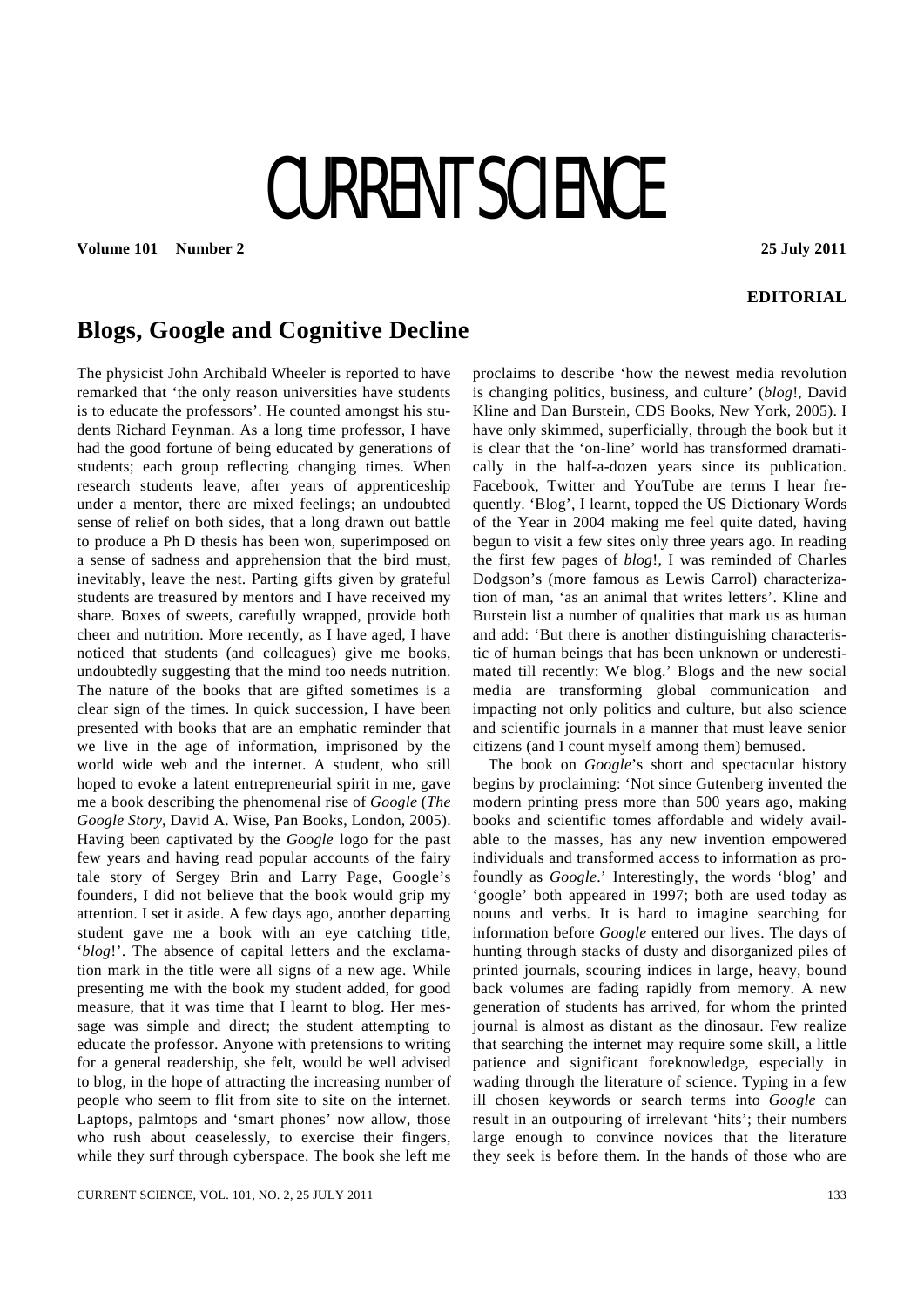## CURRENT SCIENCE

**Volume 101 Number 2 25 July 2011** 

## **EDITORIAL**

## **Blogs, Google and Cognitive Decline**

The physicist John Archibald Wheeler is reported to have remarked that 'the only reason universities have students is to educate the professors'. He counted amongst his students Richard Feynman. As a long time professor, I have had the good fortune of being educated by generations of students; each group reflecting changing times. When research students leave, after years of apprenticeship under a mentor, there are mixed feelings; an undoubted sense of relief on both sides, that a long drawn out battle to produce a Ph D thesis has been won, superimposed on a sense of sadness and apprehension that the bird must, inevitably, leave the nest. Parting gifts given by grateful students are treasured by mentors and I have received my share. Boxes of sweets, carefully wrapped, provide both cheer and nutrition. More recently, as I have aged, I have noticed that students (and colleagues) give me books, undoubtedly suggesting that the mind too needs nutrition. The nature of the books that are gifted sometimes is a clear sign of the times. In quick succession, I have been presented with books that are an emphatic reminder that we live in the age of information, imprisoned by the world wide web and the internet. A student, who still hoped to evoke a latent entrepreneurial spirit in me, gave me a book describing the phenomenal rise of *Google* (*The Google Story*, David A. Wise, Pan Books, London, 2005). Having been captivated by the *Google* logo for the past few years and having read popular accounts of the fairy tale story of Sergey Brin and Larry Page, Google's founders, I did not believe that the book would grip my attention. I set it aside. A few days ago, another departing student gave me a book with an eye catching title, '*blog*!'. The absence of capital letters and the exclamation mark in the title were all signs of a new age. While presenting me with the book my student added, for good measure, that it was time that I learnt to blog. Her message was simple and direct; the student attempting to educate the professor. Anyone with pretensions to writing for a general readership, she felt, would be well advised to blog, in the hope of attracting the increasing number of people who seem to flit from site to site on the internet. Laptops, palmtops and 'smart phones' now allow, those who rush about ceaselessly, to exercise their fingers, while they surf through cyberspace. The book she left me

proclaims to describe 'how the newest media revolution is changing politics, business, and culture' (*blog*!, David Kline and Dan Burstein, CDS Books, New York, 2005). I have only skimmed, superficially, through the book but it is clear that the 'on-line' world has transformed dramatically in the half-a-dozen years since its publication. Facebook, Twitter and YouTube are terms I hear frequently. 'Blog', I learnt, topped the US Dictionary Words of the Year in 2004 making me feel quite dated, having begun to visit a few sites only three years ago. In reading the first few pages of *blog*!, I was reminded of Charles Dodgson's (more famous as Lewis Carrol) characterization of man, 'as an animal that writes letters'. Kline and Burstein list a number of qualities that mark us as human and add: 'But there is another distinguishing characteristic of human beings that has been unknown or underestimated till recently: We blog.' Blogs and the new social media are transforming global communication and impacting not only politics and culture, but also science and scientific journals in a manner that must leave senior citizens (and I count myself among them) bemused.

 The book on *Google*'s short and spectacular history begins by proclaiming: 'Not since Gutenberg invented the modern printing press more than 500 years ago, making books and scientific tomes affordable and widely available to the masses, has any new invention empowered individuals and transformed access to information as profoundly as *Google*.' Interestingly, the words 'blog' and 'google' both appeared in 1997; both are used today as nouns and verbs. It is hard to imagine searching for information before *Google* entered our lives. The days of hunting through stacks of dusty and disorganized piles of printed journals, scouring indices in large, heavy, bound back volumes are fading rapidly from memory. A new generation of students has arrived, for whom the printed journal is almost as distant as the dinosaur. Few realize that searching the internet may require some skill, a little patience and significant foreknowledge, especially in wading through the literature of science. Typing in a few ill chosen keywords or search terms into *Google* can result in an outpouring of irrelevant 'hits'; their numbers large enough to convince novices that the literature they seek is before them. In the hands of those who are